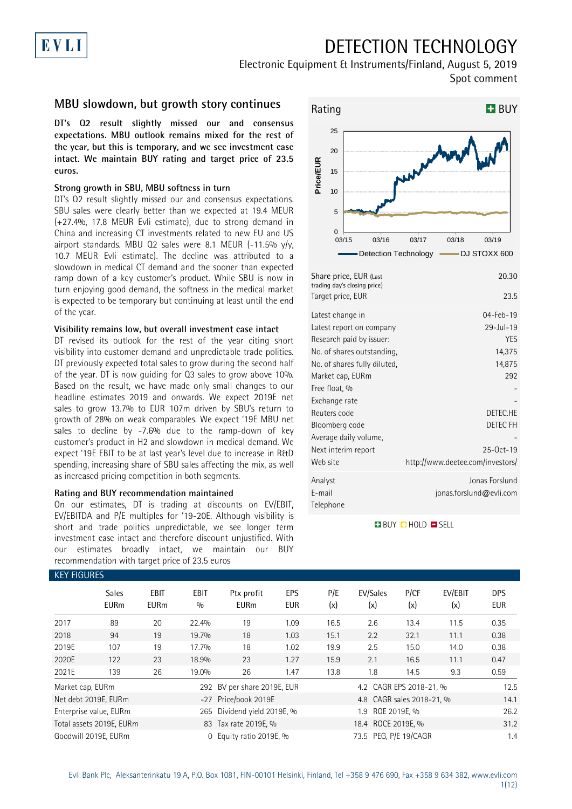## EVLI

## DETECTION TECHNOLOGY

Electronic Equipment & Instruments/Finland, August 5, 2019 Spot comment

### **MBU slowdown, but growth story continues**

**DT's Q2 result slightly missed our and consensus expectations. MBU outlook remains mixed for the rest of the year, but this is temporary, and we see investment case intact. We maintain BUY rating and target price of 23.5 euros.**

#### **Strong growth in SBU, MBU softness in turn**

DT's Q2 result slightly missed our and consensus expectations. SBU sales were clearly better than we expected at 19.4 MEUR (+27.4%, 17.8 MEUR Evli estimate), due to strong demand in China and increasing CT investments related to new EU and US airport standards. MBU Q2 sales were 8.1 MEUR (-11.5%  $y/y$ , 10.7 MEUR Evli estimate). The decline was attributed to a slowdown in medical CT demand and the sooner than expected ramp down of a key customer's product. While SBU is now in turn enjoying good demand, the softness in the medical market is expected to be temporary but continuing at least until the end of the year.

#### **Visibility remains low, but overall investment case intact**

DT revised its outlook for the rest of the year citing short visibility into customer demand and unpredictable trade politics. DT previously expected total sales to grow during the second half of the year. DT is now guiding for Q3 sales to grow above 10%. Based on the result, we have made only small changes to our headline estimates 2019 and onwards. We expect 2019E net sales to grow 13.7% to EUR 107m driven by SBU's return to growth of 28% on weak comparables. We expect '19E MBU net sales to decline by -7.6% due to the ramp-down of key customer's product in H2 and slowdown in medical demand. We expect '19E EBIT to be at last year's level due to increase in R&D spending, increasing share of SBU sales affecting the mix, as well as increased pricing competition in both segments.

#### **Rating and BUY recommendation maintained**

On our estimates, DT is trading at discounts on EV/EBIT, EV/EBITDA and P/E multiples for '19-20E. Although visibility is short and trade politics unpredictable, we see longer term investment case intact and therefore discount unjustified. With our estimates broadly intact, we maintain our BUY recommendation with target price of 23.5 euros



| Share price, EUR (Last<br>trading day's closing price)<br>Target price, EUR                                                                                                                                                                                                                | 20.30<br>23.5                                                                                                                                               |
|--------------------------------------------------------------------------------------------------------------------------------------------------------------------------------------------------------------------------------------------------------------------------------------------|-------------------------------------------------------------------------------------------------------------------------------------------------------------|
| Latest change in<br>Latest report on company<br>Research paid by issuer:<br>No. of shares outstanding,<br>No. of shares fully diluted,<br>Market cap, EURm<br>Free float, %<br>Exchange rate<br>Reuters code<br>Bloomberg code<br>Average daily volume,<br>Next interim report<br>Web site | 04-Feb-19<br>$29 -  u  - 19$<br><b>YFS</b><br>14,375<br>14,875<br>292<br>DETEC <sub>HE</sub><br>DETEC FH<br>$25-0ct-19$<br>http://www.deetee.com/investors/ |
| Analyst<br>E-mail<br>Telephone                                                                                                                                                                                                                                                             | Jonas Forslund<br>jonas.forslund@evli.com                                                                                                                   |

#### **BUY CHOLD ESELL**

| <b>KEY FIGURES</b> |                             |                            |                    |                             |                          |            |                           |             |                |                          |
|--------------------|-----------------------------|----------------------------|--------------------|-----------------------------|--------------------------|------------|---------------------------|-------------|----------------|--------------------------|
|                    | <b>Sales</b><br><b>EURm</b> | <b>EBIT</b><br><b>EURm</b> | <b>EBIT</b><br>0/0 | Ptx profit<br><b>EURm</b>   | <b>EPS</b><br><b>EUR</b> | P/E<br>(x) | EV/Sales<br>(x)           | P/CF<br>(x) | EV/EBIT<br>(x) | <b>DPS</b><br><b>EUR</b> |
| 2017               | 89                          | 20                         | 22.4%              | 19                          | 1.09                     | 16.5       | 2.6                       | 13.4        | 11.5           | 0.35                     |
| 2018               | 94                          | 19                         | 19.7%              | 18                          | 1.03                     | 15.1       | 2.2                       | 32.1        | 11.1           | 0.38                     |
| 2019E              | 107                         | 19                         | 17.7%              | 18                          | 1.02                     | 19.9       | 2.5                       | 15.0        | 14.0           | 0.38                     |
| 2020E              | 122                         | 23                         | 18.9%              | 23                          | 1.27                     | 15.9       | 2.1                       | 16.5        | 11.1           | 0.47                     |
| 2021E              | 139                         | 26                         | 19.0%              | 26                          | 1.47                     | 13.8       | 1.8                       | 14.5        | 9.3            | 0.59                     |
| Market cap, EURm   |                             |                            |                    | 292 BV per share 2019E, EUR |                          |            | 4.2 CAGR EPS 2018-21, %   |             |                | 12.5                     |
|                    | Net debt 2019E, EURm        |                            |                    | -27 Price/book 2019E        |                          |            | 4.8 CAGR sales 2018-21, % |             |                | 14.1                     |
|                    | Enterprise value, EURm      |                            |                    | 265 Dividend yield 2019E, % |                          |            | 1.9 ROE 2019E, %          |             |                | 26.2                     |
|                    | Total assets 2019E, EURm    |                            |                    | 83 Tax rate 2019E, %        |                          |            | 18.4 ROCE 2019E, %        |             |                | 31.2                     |
|                    | Goodwill 2019E, EURm        |                            | $\mathbf{0}$       | Equity ratio 2019E, %       |                          |            | 73.5 PEG, P/E 19/CAGR     |             |                | 1.4                      |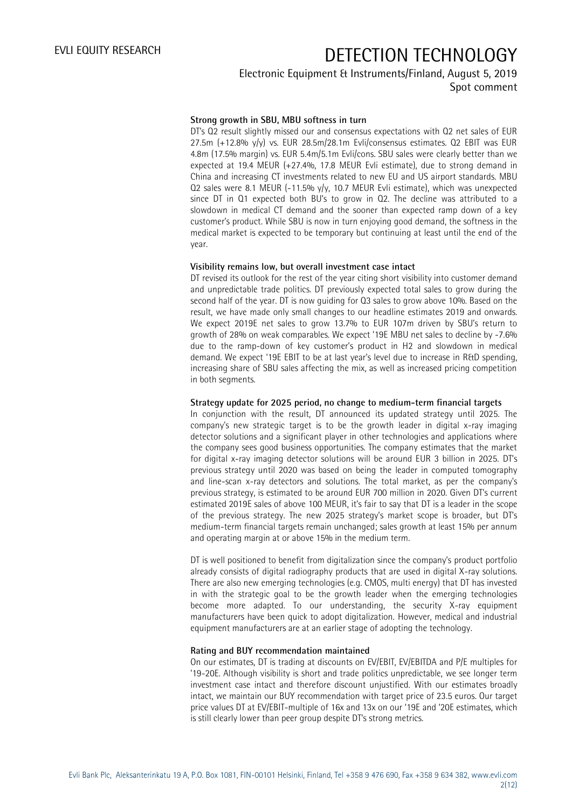### Electronic Equipment & Instruments/Finland, August 5, 2019 Spot comment

### **Strong growth in SBU, MBU softness in turn**

DT's Q2 result slightly missed our and consensus expectations with Q2 net sales of EUR 27.5m (+12.8% y/y) vs. EUR 28.5m/28.1m Evli/consensus estimates. Q2 EBIT was EUR 4.8m (17.5% margin) vs. EUR 5.4m/5.1m Evli/cons. SBU sales were clearly better than we expected at 19.4 MEUR (+27.4%, 17.8 MEUR Evli estimate), due to strong demand in China and increasing CT investments related to new EU and US airport standards. MBU Q2 sales were 8.1 MEUR (-11.5% y/y, 10.7 MEUR Evli estimate), which was unexpected since DT in Q1 expected both BU's to grow in Q2. The decline was attributed to a slowdown in medical CT demand and the sooner than expected ramp down of a key customer's product. While SBU is now in turn enjoying good demand, the softness in the medical market is expected to be temporary but continuing at least until the end of the year.

#### **Visibility remains low, but overall investment case intact**

DT revised its outlook for the rest of the year citing short visibility into customer demand and unpredictable trade politics. DT previously expected total sales to grow during the second half of the year. DT is now guiding for Q3 sales to grow above 10%. Based on the result, we have made only small changes to our headline estimates 2019 and onwards. We expect 2019E net sales to grow 13.7% to EUR 107m driven by SBU's return to growth of 28% on weak comparables. We expect '19E MBU net sales to decline by -7.6% due to the ramp-down of key customer's product in H2 and slowdown in medical demand. We expect '19E EBIT to be at last year's level due to increase in R&D spending, increasing share of SBU sales affecting the mix, as well as increased pricing competition in both segments.

#### **Strategy update for 2025 period, no change to medium-term financial targets**

In conjunction with the result, DT announced its updated strategy until 2025. The company's new strategic target is to be the growth leader in digital x-ray imaging detector solutions and a significant player in other technologies and applications where the company sees good business opportunities. The company estimates that the market for digital x-ray imaging detector solutions will be around EUR 3 billion in 2025. DT's previous strategy until 2020 was based on being the leader in computed tomography and line-scan x-ray detectors and solutions. The total market, as per the company's previous strategy, is estimated to be around EUR 700 million in 2020. Given DT's current estimated 2019E sales of above 100 MEUR, it's fair to say that DT is a leader in the scope of the previous strategy. The new 2025 strategy's market scope is broader, but DT's medium-term financial targets remain unchanged; sales growth at least 15% per annum and operating margin at or above 15% in the medium term.

DT is well positioned to benefit from digitalization since the company's product portfolio already consists of digital radiography products that are used in digital X-ray solutions. There are also new emerging technologies (e.g. CMOS, multi energy) that DT has invested in with the strategic goal to be the growth leader when the emerging technologies become more adapted. To our understanding, the security X-ray equipment manufacturers have been quick to adopt digitalization. However, medical and industrial equipment manufacturers are at an earlier stage of adopting the technology.

#### **Rating and BUY recommendation maintained**

On our estimates, DT is trading at discounts on EV/EBIT, EV/EBITDA and P/E multiples for '19-20E. Although visibility is short and trade politics unpredictable, we see longer term investment case intact and therefore discount unjustified. With our estimates broadly intact, we maintain our BUY recommendation with target price of 23.5 euros. Our target price values DT at EV/EBIT-multiple of 16x and 13x on our '19E and '20E estimates, which is still clearly lower than peer group despite DT's strong metrics.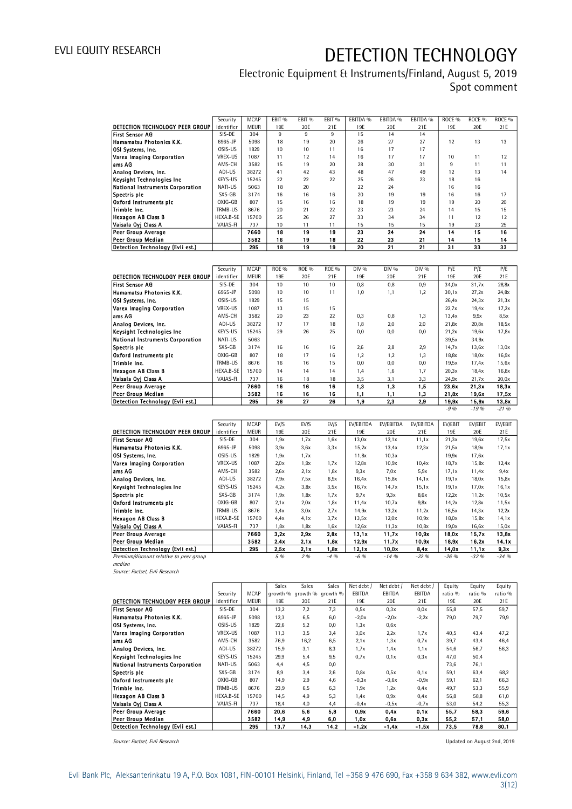### Electronic Equipment & Instruments/Finland, August 5, 2019 Spot comment

|                                  | Security         | <b>MCAP</b> | FBIT <sub>%</sub> | FBIT % | FBIT <sub>%</sub> | EBITDA % | FBITDA % | FBITDA % | ROCE <sub>%</sub> | ROCE <sub>%</sub> | ROCE <sub>%</sub> |
|----------------------------------|------------------|-------------|-------------------|--------|-------------------|----------|----------|----------|-------------------|-------------------|-------------------|
| DETECTION TECHNOLOGY PEER GROUP  | identifier       | <b>MEUR</b> | 19F               | 20E    | 21E               | 19E      | 20E      | 21E      | 19F               | 20E               | 21E               |
| <b>First Sensor AG</b>           | SIS-DE           | 304         | 9                 | 9      | 9                 | 15       | 14       | 14       |                   |                   |                   |
| Hamamatsu Photonics K.K.         | 6965-JP          | 5098        | 18                | 19     | 20                | 26       | 27       | 27       | 12                | 13                | 13                |
| OSI Systems, Inc.                | OSIS-US          | 1829        | 10                | 10     | 11                | 16       | 17       | 17       |                   |                   |                   |
| Varex Imaging Corporation        | VREX-US          | 1087        | 11                | 12     | 14                | 16       | 17       | 17       | 10                | 11                | 12                |
| lams AG                          | AMS-CH           | 3582        | 15                | 19     | 20                | 28       | 30       | 31       | 9                 | 11                | 11                |
| Analog Devices, Inc.             | ADI-US           | 38272       | 41                | 42     | 43                | 48       | 47       | 49       | 12                | 13                | 14                |
| Keysight Technologies Inc        | KEYS-US          | 15245       | 22                | 22     | 22                | 25       | 26       | 23       | 18                | 16                |                   |
| National Instruments Corporation | NATI-US          | 5063        | 18                | 20     |                   | 22       | 24       |          | 16                | 16                |                   |
| Spectris plc                     | SXS-GB           | 3174        | 16                | 16     | 16                | 20       | 19       | 19       | 16                | 16                | 17                |
| Oxford Instruments pic           | OXIG-GB          | 807         | 15                | 16     | 16                | 18       | 19       | 19       | 19                | 20                | 20                |
| Trimble Inc.                     | TRMB-US          | 8676        | 20                | 21     | 22                | 23       | 23       | 24       | 14                | 15                | 15                |
| <b>Hexagon AB Class B</b>        | <b>HFXA B-SF</b> | 15700       | 25                | 26     | 27                | 33       | 34       | 34       | 11                | 12                | 12                |
| Vaisala Oyj Class A              | VAIAS-FI         | 737         | 10                | 11     | 11                | 15       | 15       | 15       | 19                | 23                | 25                |
| <b>Peer Group Average</b>        |                  | 7660        | 18                | 19     | 19                | 23       | 24       | 24       | 14                | 15                | 16                |
| Peer Group Median                |                  | 3582        | 16                | 19     | 18                | 22       | 23       | 21       | 14                | 15                | 14                |
| Detection Technology (Evli est.) |                  | 295         | 18                | 19     | 19                | 20       | 21       | 21       | 31                | 33                | 33                |

|                                  | Security   | <b>MCAP</b> | <b>ROE %</b> | <b>ROE %</b> | <b>ROE %</b> | DIV % | DIV % | DIV % | P/E     | P/E      | P/E      |
|----------------------------------|------------|-------------|--------------|--------------|--------------|-------|-------|-------|---------|----------|----------|
| DETECTION TECHNOLOGY PEER GROUP  | identifier | MEUR        | 19E          | 20E          | 21E          | 19E   | 20E   | 21E   | 19E     | 20E      | 21E      |
| <b>First Sensor AG</b>           | SIS-DE     | 304         | 10           | 10           | 10           | 0,8   | 0,8   | 0,9   | 34,0x   | 31,7x    | 28,8x    |
| Hamamatsu Photonics K.K.         | 6965-JP    | 5098        | 10           | 10           | 11           | 1,0   | 1,1   | 1,2   | 30,1x   | 27,2x    | 24,8x    |
| OSI Systems, Inc.                | OSIS-US    | 1829        | 15           | 15           |              |       |       |       | 26,4x   | 24,3x    | 21,3x    |
| Varex Imaging Corporation        | VREX-US    | 1087        | 13           | 15           | 15           |       |       |       | 22,7x   | 19,4x    | 17,2x    |
| lams AG                          | AMS-CH     | 3582        | 20           | 23           | 22           | 0,3   | 0,8   | 1,3   | 13,4x   | 9,9x     | 8,5x     |
| Analog Devices, Inc.             | ADI-US     | 38272       | 17           | 17           | 18           | 1,8   | 2,0   | 2,0   | 21,8x   | 20,8x    | 18,5x    |
| Keysight Technologies Inc        | KEYS-US    | 15245       | 29           | 26           | 25           | 0,0   | 0,0   | 0,0   | 21,2x   | 19,6x    | 17,8x    |
| National Instruments Corporation | NATI-US    | 5063        |              |              |              |       |       |       | 39,5x   | 34,9x    |          |
| Spectris plc                     | SXS-GB     | 3174        | 16           | 16           | 16           | 2,6   | 2,8   | 2,9   | 14,7x   | 13,6x    | 13,0x    |
| Oxford Instruments pic           | OXIG-GB    | 807         | 18           | 17           | 16           | 1,2   | 1,2   | 1.3   | 18.8x   | 18.0x    | 16,9x    |
| Trimble Inc.                     | TRMB-US    | 8676        | 16           | 16           | 15           | 0,0   | 0,0   | 0.0   | 19.5x   | 17.4x    | 15,6x    |
| <b>Hexagon AB Class B</b>        | HEXA.B-SE  | 15700       | 14           | 14           | 14           | 1,4   | 1,6   | 1.7   | 20,3x   | 18.4x    | 16,8x    |
| Vaisala Oyj Class A              | VAIAS-FI   | 737         | 16           | 18           | 18           | 3,5   | 3,1   | 3,3   | 24,9x   | 21,7x    | 20,0x    |
| Peer Group Average               |            | 7660        | 16           | 16           | 16           | 1,3   | 1.3   | 1.5   | 23.6x   | 21.3x    | 18,3x    |
| <b>Peer Group Median</b>         |            | 3582        | 16           | 16           | 16           | 1,1   | 1,1   | 1,3   | 21.8x   | 19.6x    | 17,5x    |
| Detection Technology (Evli est.) |            | 295         | 26           | 27           | 26           | 1,9   | 2.3   | 2,9   | 19,9x   | 15,9x    | 13,8x    |
|                                  |            |             |              |              |              |       |       |       | $-9.96$ | $-19.96$ | $-21.96$ |

|                                         | Security   | <b>MCAP</b> | EV/S | EV/S | EV/S    | <b>EV/EBITDA</b> | EV/EBITDA | EV/EBITDA | <b>EV/EBIT</b> | EV/EBIT  | EV/EBIT  |
|-----------------------------------------|------------|-------------|------|------|---------|------------------|-----------|-----------|----------------|----------|----------|
| DETECTION TECHNOLOGY PEER GROUP         | identifier | <b>MEUR</b> | 19E  | 20E  | 21E     | 19E              | 20E       | 21E       | 19E            | 20E      | 21E      |
| <b>First Sensor AG</b>                  | SIS-DE     | 304         | 1,9x | 1,7x | 1,6x    | 13,0x            | 12,1x     | 11,1x     | 21,3x          | 19,6x    | 17,5x    |
| Hamamatsu Photonics K.K.                | 6965-JP    | 5098        | 3,9x | 3,6x | 3,3x    | 15,2x            | 13,4x     | 12,3x     | 21,5x          | 18,9x    | 17,1x    |
| <b>OSI Systems, Inc.</b>                | OSIS-US    | 1829        | 1,9x | 1,7x |         | 11,8x            | 10,3x     |           | 19,9x          | 17,6x    |          |
| Varex Imaging Corporation               | VREX-US    | 1087        | 2,0x | 1,9x | 1,7x    | 12,8x            | 10,9x     | 10,4x     | 18,7x          | 15,8x    | 12,4x    |
| ams AG                                  | AMS-CH     | 3582        | 2,6x | 2.1x | 1,8x    | 9.3x             | 7.0x      | 5,9x      | 17,1x          | 11,4x    | 9,4x     |
| Analog Devices, Inc.                    | ADI-US     | 38272       | 7,9x | 7,5x | 6,9x    | 16,4x            | 15,8x     | 14.1x     | 19,1x          | 18,0x    | 15,8x    |
| Keysight Technologies Inc               | KEYS-US    | 15245       | 4.2x | 3,8x | 3,5x    | 16,7x            | 14,7x     | 15,1x     | 19,1x          | 17,0x    | 16,1x    |
| Spectris plc                            | SXS-GB     | 3174        | 1,9x | 1,8x | 1,7x    | 9.7x             | 9.3x      | 8,6x      | 12,2x          | 11,2x    | 10,5x    |
| Oxford Instruments pic                  | OXIG-GB    | 807         | 2.1x | 2,0x | 1,8x    | 11,4x            | 10,7x     | 9,8x      | 14,2x          | 12,8x    | 11,5x    |
| Trimble Inc.                            | TRMB-US    | 8676        | 3.4x | 3,0x | 2.7x    | 14,9x            | 13,2x     | 11,2x     | 16,5x          | 14,3x    | 12,2x    |
| <b>Hexagon AB Class B</b>               | HEXA.B-SE  | 15700       | 4.4x | 4.1x | 3,7x    | 13,5x            | 12,0x     | 10,9x     | 18,0x          | 15,8x    | 14,1x    |
| Vaisala Ovi Class A                     | VAIAS-FI   | 737         | 1,8x | 1,8x | 1,6x    | 12,6x            | 11,3x     | 10,8x     | 19,0x          | 16,6x    | 15,0x    |
| <b>Peer Group Average</b>               |            | 7660        | 3.2x | 2.9x | 2.8x    | 13,1x            | 11.7x     | 10,9x     | 18,0x          | 15,7x    | 13,8x    |
| Peer Group Median                       |            | 3582        | 2.4x | 2.1x | 1.8x    | 12,9x            | 11,7x     | 10,9x     | 18,9x          | 16,2x    | 14,1x    |
| Detection Technology (Evli est.)        |            | 295         | 2.5x | 2.1x | 1.8x    | 12,1x            | 10,0x     | 8.4x      | 14,0x          | 11,1x    | 9,3x     |
| Premium/discount relative to peer group |            |             | 5 %  | 296  | $-4.96$ | $-6.96$          | $-14.96$  | $-22.96$  | $-26.96$       | $-32.96$ | $-34.96$ |

Premium/discount relative to peer group median

Source: Factset, Evli Research

|                                  |            |             | Sales | Sales                      | Sales | Net debt / | Net debt / | Net debt / | Equity  | Equity  | Equity  |
|----------------------------------|------------|-------------|-------|----------------------------|-------|------------|------------|------------|---------|---------|---------|
|                                  | Security   | <b>MCAP</b> |       | growth % growth % growth % |       | EBITDA     | EBITDA     | EBITDA     | ratio % | ratio % | ratio % |
| DETECTION TECHNOLOGY PEER GROUP  | identifier | <b>MEUR</b> | 19F   | 20E                        | 21E   | 19E        | 20E        | 21E        | 19E     | 20E     | 21E     |
| <b>First Sensor AG</b>           | SIS-DE     | 304         | 13,2  | 7,2                        | 7.3   | 0,5x       | 0.3x       | 0.0x       | 55,8    | 57,5    | 59,7    |
| Hamamatsu Photonics K.K.         | 6965-JP    | 5098        | 12,3  | 6,5                        | 6,0   | $-2,0x$    | $-2,0x$    | $-2,2x$    | 79,0    | 79,7    | 79,9    |
| <b>OSI Systems, Inc.</b>         | OSIS-US    | 1829        | 22,6  | 5,2                        | 0,0   | 1,3x       | 0,6x       |            |         |         |         |
| Varex Imaging Corporation        | VREX-US    | 1087        | 11,3  | 3,5                        | 3,4   | 3.0x       | 2,2x       | 1,7x       | 40,5    | 43,4    | 47,2    |
| ams AG                           | AMS-CH     | 3582        | 76,9  | 16,2                       | 6,5   | 2.1x       | 1,3x       | 0.7x       | 39,7    | 43,4    | 46,4    |
| Analog Devices, Inc.             | ADI-US     | 38272       | 15,9  | 3,1                        | 8,3   | 1,7x       | 1.4x       | 1,1x       | 54,6    | 56,7    | 56,3    |
| Keysight Technologies Inc        | KEYS-US    | 15245       | 29,9  | 5,4                        | 9,5   | 0.7x       | 0,1x       | 0.3x       | 47,0    | 50,4    |         |
| National Instruments Corporation | NATI-US    | 5063        | 4,4   | 4,5                        | 0,0   |            |            |            | 73,6    | 76,1    |         |
| Spectris plc                     | SXS-GB     | 3174        | 8,9   | 3,4                        | 2,6   | 0,8x       | 0,5x       | 0,1x       | 59,1    | 63,4    | 68,2    |
| Oxford Instruments pic           | OXIG-GB    | 807         | 14,9  | 2,9                        | 4,6   | $-0.3x$    | $-0,6x$    | $-0,9x$    | 59,1    | 62,1    | 66,3    |
| Trimble Inc.                     | TRMB-US    | 8676        | 23,9  | 6,5                        | 6,3   | 1,9x       | 1,2x       | 0.4x       | 49,7    | 53,3    | 55,9    |
| <b>Hexagon AB Class B</b>        | HEXA.B-SE  | 15700       | 14,5  | 4,9                        | 5,3   | 1.4x       | 0,9x       | 0.4x       | 56,8    | 58,8    | 61,0    |
| Vaisala Oyi Class A              | VAIAS-FI   | 737         | 18,4  | 4,0                        | 4,4   | $-0,4x$    | $-0,5x$    | $-0.7x$    | 53,0    | 54,2    | 55,3    |
| Peer Group Average               |            | 7660        | 20,6  | 5,6                        | 5,8   | 0,9x       | 0.4x       | 0,1x       | 55.7    | 58,3    | 59,6    |
| Peer Group Median                |            | 3582        | 14,9  | 4,9                        | 6,0   | 1.0x       | 0.6x       | 0,3x       | 55.2    | 57,1    | 58,0    |
| Detection Technology (Evli est.) |            | 295         | 13,7  | 14,3                       | 14,2  | $-1,2x$    | $-1.4x$    | -1,5x      | 73,5    | 78,8    | 80,1    |

Source: Factset, Evli Research **Source: Factset, Evli Research** Updated on August 2nd, 2019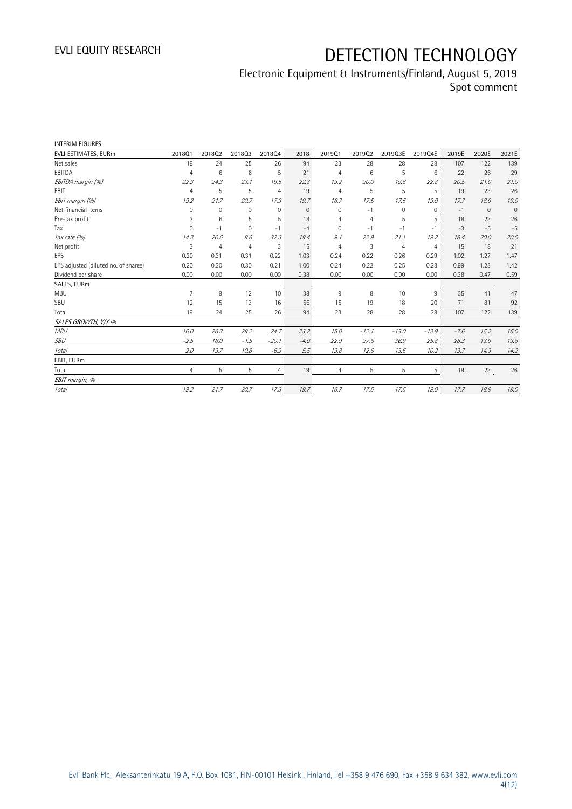| <b>INTERIM FIGURES</b>               |                |                |                |                |          |                |         |                |                |        |              |             |
|--------------------------------------|----------------|----------------|----------------|----------------|----------|----------------|---------|----------------|----------------|--------|--------------|-------------|
| EVLI ESTIMATES, EURm                 | 201801         | 201802         | 201803         | 201804         | 2018     | 201901         | 201902  | 2019Q3E        | 2019Q4E        | 2019E  | 2020E        | 2021E       |
| Net sales                            | 19             | 24             | 25             | 26             | 94       | 23             | 28      | 28             | 28             | 107    | 122          | 139         |
| EBITDA                               | $\overline{4}$ | 6              | 6              | 5              | 21       | $\overline{4}$ | 6       | 5              | 6              | 22     | 26           | 29          |
| EBITDA margin (%)                    | 22.3           | 24.3           | 23.1           | 19.5           | 22.3     | 19.2           | 20.0    | 19.6           | 22.8           | 20.5   | 21.0         | 21.0        |
| <b>EBIT</b>                          | $\overline{4}$ | 5              | 5              | $\overline{4}$ | 19       | $\overline{4}$ | 5       | 5              | 5              | 19     | 23           | 26          |
| EBIT margin (%)                      | 19.2           | 21.7           | 20.7           | 17.3           | 19.7     | 16.7           | 17.5    | 17.5           | 19.0           | 17.7   | 18.9         | 19.0        |
| Net financial items                  | $\Omega$       | $\mathbf 0$    | 0              | $\mathbf{0}$   | $\Omega$ | $\Omega$       | $-1$    | 0              | $\Omega$       | $-1$   | $\mathbf{0}$ | $\mathbf 0$ |
| Pre-tax profit                       | 3              | 6              | 5              | 5              | 18       | 4              | 4       | 5              | 5              | 18     | 23           | 26          |
| Tax                                  | $\overline{0}$ | $-1$           | 0              | $-1$           | $-4$     | $\Omega$       | $-1$    | $-1$           | $-1$           | $-3$   | $-5$         | $-5$        |
| Tax rate (%)                         | 14.3           | 20.6           | 9.6            | 32.3           | 19.4     | 9.1            | 22.9    | 21.1           | 19.2           | 18.4   | 20.0         | 20.0        |
| Net profit                           | 3              | $\overline{4}$ | $\overline{4}$ | 3              | 15       | $\overline{4}$ | 3       | $\overline{4}$ | $\overline{4}$ | 15     | 18           | 21          |
| EPS                                  | 0.20           | 0.31           | 0.31           | 0.22           | 1.03     | 0.24           | 0.22    | 0.26           | 0.29           | 1.02   | 1.27         | 1.47        |
| EPS adjusted (diluted no. of shares) | 0.20           | 0.30           | 0.30           | 0.21           | 1.00     | 0.24           | 0.22    | 0.25           | 0.28           | 0.99   | 1.23         | 1.42        |
| Dividend per share                   | 0.00           | 0.00           | 0.00           | 0.00           | 0.38     | 0.00           | 0.00    | 0.00           | 0.00           | 0.38   | 0.47         | 0.59        |
| SALES, EURm                          |                |                |                |                |          |                |         |                |                |        |              |             |
| <b>MBU</b>                           | $\overline{7}$ | 9              | 12             | 10             | 38       | 9              | 8       | 10             | 9              | 35     | 41           | 47          |
| SBU                                  | 12             | 15             | 13             | 16             | 56       | 15             | 19      | 18             | 20             | 71     | 81           | 92          |
| Total                                | 19             | 24             | 25             | 26             | 94       | 23             | 28      | 28             | 28             | 107    | 122          | 139         |
| SALES GROWTH, Y/Y %                  |                |                |                |                |          |                |         |                |                |        |              |             |
| <b>MBU</b>                           | 10.0           | 26.3           | 29.2           | 24.7           | 23.2     | 15.0           | $-12.1$ | $-13.0$        | $-13.9$        | $-7.6$ | 15.2         | 15.0        |
| SBU                                  | $-2.5$         | 16.0           | $-1.5$         | $-20.1$        | $-4.0$   | 22.9           | 27.6    | 36.9           | 25.8           | 28.3   | 13.9         | 13.8        |
| Total                                | 2.0            | 19.7           | 10.8           | $-6.9$         | 5.5      | 19.8           | 12.6    | 13.6           | 10.2           | 13.7   | 14.3         | 14.2        |
| EBIT, EURm                           |                |                |                |                |          |                |         |                |                |        |              |             |
| Total                                | $\overline{4}$ | 5              | 5              | $\overline{4}$ | 19       | 4              | 5       | 5              | 5              | 19     | 23           | 26          |
| EBIT margin, %                       |                |                |                |                |          |                |         |                |                |        |              |             |
| <b>Total</b>                         | 19.2           | 21.7           | 20.7           | 17.3           | 19.7     | 16.7           | 17.5    | 17.5           | 19.0           | 17.7   | 18.9         | 19.0        |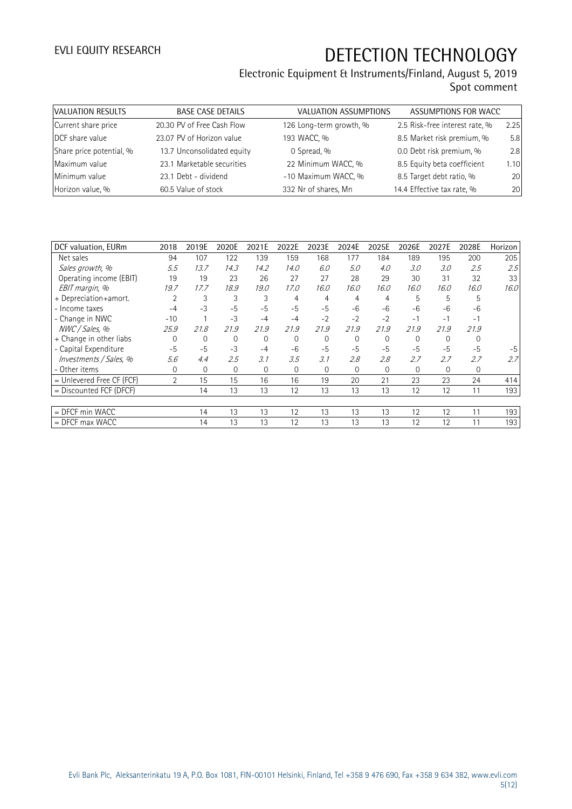| VALUATION RESULTS        | <b>BASE CASE DETAILS</b>   | VALUATION ASSUMPTIONS   | ASSUMPTIONS FOR WACC           |      |
|--------------------------|----------------------------|-------------------------|--------------------------------|------|
| Current share price      | 20.30 PV of Free Cash Flow | 126 Long-term growth, % | 2.5 Risk-free interest rate, % | 2.25 |
| DCF share value          | 23.07 PV of Horizon value  | 193 WACC, %             | 8.5 Market risk premium, %     | 5.8  |
| Share price potential, % | 13.7 Unconsolidated equity | 0 Spread, %             | 0.0 Debt risk premium, %       | 2.8  |
| Maximum value            | 23.1 Marketable securities | 22 Minimum WACC, %      | 8.5 Equity beta coefficient    | 1.10 |
| Minimum value            | 23.1 Debt - dividend       | -10 Maximum WACC, %     | 8.5 Target debt ratio, %       | 20   |
| Horizon value, %         | 60.5 Value of stock        | 332 Nr of shares, Mn    | 14.4 Effective tax rate, %     | 20   |

| DCF valuation, EURm       | 2018           | 2019E        | 2020E       | 2021E        | 2022E       | 2023E       | 2024E       | 2025E    | 2026E        | 2027E        | 2028E       | Horizon |
|---------------------------|----------------|--------------|-------------|--------------|-------------|-------------|-------------|----------|--------------|--------------|-------------|---------|
| Net sales                 | 94             | 107          | 122         | 139          | 159         | 168         | 177         | 184      | 189          | 195          | 200         | 205     |
| Sales growth, %           | 5.5            | 13.7         | 14.3        | 14.2         | 14.0        | 6.0         | 5.0         | 4.0      | 3.0          | 3.0          | 2.5         | 2.5     |
| Operating income (EBIT)   | 19             | 19           | 23          | 26           | 27          | 27          | 28          | 29       | 30           | 31           | 32          | 33      |
| EBIT margin, %            | 19.7           | 17.7         | 18.9        | 19.0         | 17.0        | 16.0        | 16.0        | 16.0     | 16.0         | 16.0         | 16.0        | 16.0    |
| + Depreciation+amort.     | 2              | 3            | 3           | 3            | 4           | 4           | 4           | 4        | 5            | 5            | 5           |         |
| - Income taxes            | $-4$           | $-3$         | $-5$        | $-5$         | $-5$        | $-5$        | $-6$        | $-6$     | $-6$         | $-6$         | $-6$        |         |
| - Change in NWC           | $-10$          |              | $-3$        | $-4$         | $-4$        | $-2$        | $-2$        | $-2$     | $-1$         | $-1$         | $-1$        |         |
| NWC / Sales, %            | 25.9           | 21.8         | 21.9        | 21.9         | 21.9        | 21.9        | 21.9        | 21.9     | 21.9         | 21.9         | 21.9        |         |
| + Change in other liabs   | $\Omega$       | $\mathbf 0$  | $\Omega$    | $\mathbf{0}$ | $\mathbf 0$ | $\Omega$    | $\mathbf 0$ | $\Omega$ | $\mathbf{0}$ | $\Omega$     | $\mathbf 0$ |         |
| - Capital Expenditure     | $-5$           | $-5$         | $-3$        | $-4$         | $-6$        | $-5$        | $-5$        | $-5$     | $-5$         | $-5$         | $-5$        | $-5$    |
| Investments / Sales, %    | 5.6            | 4.4          | 2.5         | 3.1          | 3.5         | 3.1         | 2.8         | 2.8      | 2.7          | 2.7          | 2.7         | 2.7     |
| - Other items             | 0              | $\mathbf{0}$ | $\mathbf 0$ | $\mathbf{0}$ | $\mathbf 0$ | $\mathbf 0$ | $\mathbf 0$ | 0        | $\mathbf{0}$ | $\mathbf{0}$ | 0           |         |
| = Unlevered Free CF (FCF) | $\overline{2}$ | 15           | 15          | 16           | 16          | 19          | 20          | 21       | 23           | 23           | 24          | 414     |
| = Discounted FCF (DFCF)   |                | 14           | 13          | 13           | 12          | 13          | 13          | 13       | 12           | 12           | 11          | 193     |
|                           |                |              |             |              |             |             |             |          |              |              |             |         |
| $=$ DFCF min WACC         |                | 14           | 13          | 13           | 12          | 13          | 13          | 13       | 12           | 12           | 11          | 193     |
| $=$ DFCF max WACC         |                | 14           | 13          | 13           | 12          | 13          | 13          | 13       | 12           | 12           | 11          | 193     |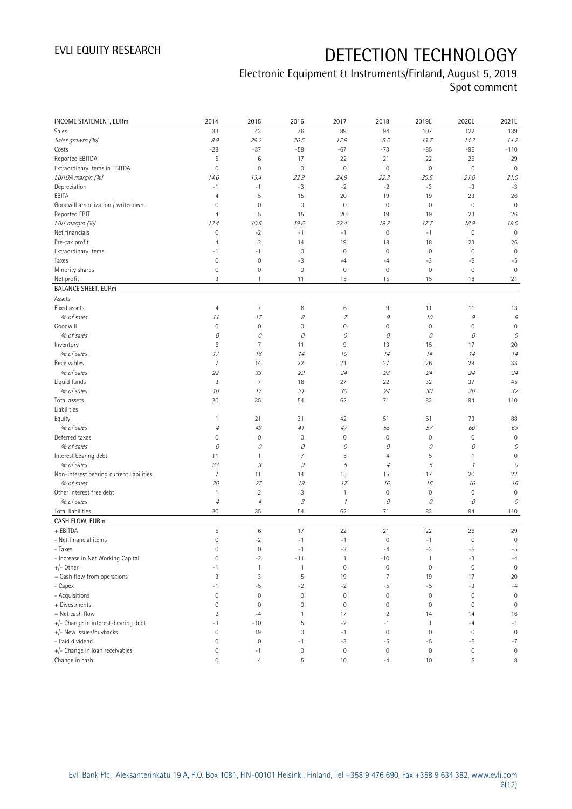| INCOME STATEMENT, EURm                     | 2014                | 2015                        | 2016                | 2017                | 2018                | 2019E               | 2020E        | 2021E               |
|--------------------------------------------|---------------------|-----------------------------|---------------------|---------------------|---------------------|---------------------|--------------|---------------------|
| Sales                                      | 33                  | 43                          | 76                  | 89                  | 94                  | 107                 | 122          | 139                 |
| Sales growth (%)                           | 8.9                 | 29.2                        | 76.5                | 17.9                | 5.5                 | 13.7                | 14.3         | 14.2                |
| Costs                                      | $-28$               | $-37$                       | $-58$               | $-67$               | $-73$               | $-85$               | $-96$        | $-110$              |
| Reported EBITDA                            | 5                   | 6                           | 17                  | 22                  | 21                  | 22                  | 26           | 29                  |
| Extraordinary items in EBITDA              | 0                   | $\mathbf 0$                 | $\mathbb O$         | $\mathbf 0$         | $\mathsf{O}\xspace$ | $\mathbb O$         | $\mathbf 0$  | $\mathbf 0$         |
| EBITDA margin (%)                          | 14.6                | 13.4                        | 22.9                | 24.9                | 22.3                | 20.5                | 21.0         | 21.0                |
| Depreciation                               | $-1$                | $-1$                        | $-3$                | $-2$                | $-2$                | $-3$                | $-3$         | $-3$                |
| EBITA                                      | $\overline{4}$      | $\sqrt{5}$                  | 15                  | 20                  | 19                  | 19                  | 23           | 26                  |
| Goodwill amortization / writedown          | 0                   | $\mathbf 0$                 | $\mathsf{O}\xspace$ | $\mathbf 0$         | $\mathbf 0$         | $\mathbf 0$         | $\mathbf 0$  | $\mathbf 0$         |
| Reported EBIT                              | 4                   | $\sqrt{5}$                  | 15                  | 20                  | 19                  | 19                  | 23           | 26                  |
| EBIT margin (%)                            | 12.4                | 10.5                        | 19.6                | 22.4                | 19.7                | 17.7                | 18.9         | 19.0                |
| Net financials                             | $\mathsf{O}\xspace$ | $-2$                        | $-1$                | $-1$                | $\mathbf 0$         | $-1$                | $\mathbb O$  | $\mathbf 0$         |
| Pre-tax profit                             | $\overline{4}$      | $\sqrt{2}$                  | 14                  | 19                  | 18                  | 18                  | 23           | 26                  |
| Extraordinary items                        | $-1$                | $-1$                        | $\mathbf 0$         | $\mathbf 0$         | $\mathbf 0$         | $\mathsf{O}\xspace$ | $\mathbf 0$  | $\mathbf 0$         |
| Taxes                                      | $\mathbf 0$         | $\mathbf 0$                 | $-3$                | $-4$                | $-4$                | -3                  | $-5$         | $-5$                |
| Minority shares                            | $\mathsf{O}\xspace$ | $\mathbf 0$                 | $\mathbf 0$         | $\mathbf 0$         | $\mathbf 0$         | $\mathsf{O}\xspace$ | $\mathbf 0$  | $\mathbf 0$         |
| Net profit                                 | 3                   | 1                           | 11                  | 15                  | 15                  | 15                  | 18           | 21                  |
| <b>BALANCE SHEET, EURm</b>                 |                     |                             |                     |                     |                     |                     |              |                     |
| Assets                                     |                     |                             |                     |                     |                     |                     |              |                     |
| Fixed assets                               | 4                   | $\overline{7}$              | 6                   | 6                   | 9                   | 11                  | 11           | 13                  |
| % of sales                                 | 11                  | 17                          | 8                   | $\overline{7}$      | $\mathcal G$        | 10                  | $\mathcal G$ | $\mathcal G$        |
| Goodwill                                   | 0                   | $\mathbf 0$                 | $\mathsf{O}\xspace$ | $\mathbf 0$         | $\mathbf 0$         | $\mathbf 0$         | $\mathbf 0$  | $\mathbf 0$         |
| % of sales                                 | 0                   | 0                           | О                   | 0                   | 0                   | 0                   | 0            | 0                   |
| Inventory                                  | 6                   | 7                           | 11                  | 9                   | 13                  | 15                  | 17           | 20                  |
| % of sales                                 | 17                  | 16                          | 14                  | 10                  | 14                  | 14                  | 14           | 14                  |
| Receivables                                | 7                   | 14                          | 22                  | 21                  | 27                  | 26                  | 29           | 33                  |
| % of sales                                 | 22                  | 33                          | 29                  | 24                  | 28                  | 24                  | 24           | 24                  |
| Liquid funds                               | 3                   | $\overline{7}$              | 16                  | 27                  | 22                  | 32                  | 37           | 45                  |
| % of sales                                 | 10                  | 17                          | 21                  | 30                  | 24                  | 30                  | 30           | 32                  |
| Total assets                               | 20                  | 35                          | 54                  | 62                  | 71                  | 83                  | 94           | 110                 |
| Liabilities                                |                     |                             |                     |                     |                     |                     |              |                     |
| Equity                                     | $\mathbf{1}$        | 21                          | 31                  | 42                  | 51                  | 61                  | 73           | 88                  |
| % of sales                                 | $\sqrt{4}$          | 49                          | 41                  | 47                  | 55                  | 57                  | 60           | 63                  |
| Deferred taxes                             | 0                   | $\mathbf 0$                 | $\mathbf 0$         | $\mathbf 0$         | $\mathbf 0$         | $\mathsf{O}\xspace$ | $\mathbf 0$  | $\mathbf 0$         |
| % of sales                                 | 0                   | 0                           | О                   | 0                   | 0                   | 0                   | 0            | 0                   |
| Interest bearing debt                      | 11                  | $\mathbf{1}$                | 7                   | 5                   | $\overline{4}$      | 5                   | $\mathbf{1}$ | $\mathbf 0$         |
| % of sales                                 | 33                  | $\mathcal{S}_{\mathcal{S}}$ | $\mathcal G$        | $\sqrt{5}$          | $\overline{4}$      | 5                   | $\mathcal I$ | 0                   |
| Non-interest bearing current liabilities   | 7                   | 11                          | 14                  | 15                  | 15                  | 17                  | 20           | 22                  |
| % of sales                                 | 20                  | 27                          | 19                  | 17                  | 16                  | 16                  | 16           | 16                  |
| Other interest free debt                   | $\mathbf{1}$        | $\overline{2}$              | 3                   | 1                   | $\mathbf 0$         | $\mathsf{O}\xspace$ | $\mathbf 0$  | $\mathbf 0$         |
| % of sales                                 | $\sqrt{4}$          | $\overline{4}$              | 3                   | $\mathcal I$        | 0                   | 0                   | 0            | 0                   |
| Total liabilities                          | 20                  | 35                          | 54                  | 62                  | 71                  | 83                  | 94           | 110                 |
| CASH FLOW, EURm                            |                     |                             |                     |                     |                     |                     |              |                     |
| + EBITDA                                   | 5                   | $\,6\,$                     | 17                  | 22                  | 21                  | 22                  | 26           | 29                  |
| - Net financial items                      | $\overline{0}$      | $-2$                        | $-1$                | $-1$                | $\mathbf 0$         | $-1$                | $\mathbf 0$  | $\mathsf{O}\xspace$ |
| - Taxes                                    | 0                   | $\mathbf 0$                 | $-1$                | $-3$                | $-4$                | $-3$                | $-5$         | $-5$                |
| - Increase in Net Working Capital          | $\mathsf{O}\xspace$ | $-2$                        | $-11$               | $\mathbf{1}$        | $-10$               | $\mathbf{1}$        | $-3$         | $-4$                |
| $+/-$ Other                                | $-1$                | $\mathbf{1}$                | $\mathbf{1}$        | $\mathbf 0$         | $\mathbf 0$         | $\mathsf{O}\xspace$ | $\mathbf 0$  | $\mathbf 0$         |
| = Cash flow from operations                | 3                   | 3                           | 5                   | 19                  | 7                   | 19                  | 17           | 20                  |
| - Capex                                    | $-1$                | $-5$                        | $-2$                | $-2$                | -5                  | $-5$                | $-3$         | $-4$                |
| - Acquisitions                             | 0                   | $\mathbf 0$                 | $\mathsf{O}\xspace$ | $\mathbf 0$         | $\mathsf{O}\xspace$ | $\mathbb O$         | $\mathbf 0$  | $\mathsf{O}\xspace$ |
| + Divestments                              | 0                   | $\mathbf 0$                 | $\mathsf{O}\xspace$ | $\mathbf 0$         | $\mathbf 0$         | $\mathsf{O}\xspace$ | $\mathbf 0$  | $\mathsf{O}\xspace$ |
| $=$ Net cash flow                          | $\overline{2}$      | $-4$                        | $\mathbf{1}$        | 17                  | $\overline{2}$      | 14                  | 14           | 16                  |
| +/- Change in interest-bearing debt        | $-3$                | $-10$                       | 5                   | $-2$                | $-1$                | $\overline{1}$      | $-4$         | $-1$                |
|                                            | 0                   |                             | $\mathsf{O}\xspace$ | $-1$                | $\mathbf 0$         | $\mathbb O$         | $\mathbf 0$  | $\mathbf 0$         |
| +/- New issues/buybacks<br>- Paid dividend | 0                   | 19<br>$\mathbf 0$           | $-1$                |                     | $-5$                |                     | $-5$         | $-7$                |
| +/- Change in loan receivables             | 0                   |                             | $\mathbf 0$         | $-3$<br>$\mathbf 0$ | $\mathbf 0$         | $-5$                |              |                     |
|                                            |                     | $-1$                        |                     |                     |                     | $\mathbb O$         | $\bf 0$      | $\mathsf{O}\xspace$ |
| Change in cash                             | 0                   | $\overline{4}$              | 5                   | 10                  | $-4$                | 10                  | 5            | 8                   |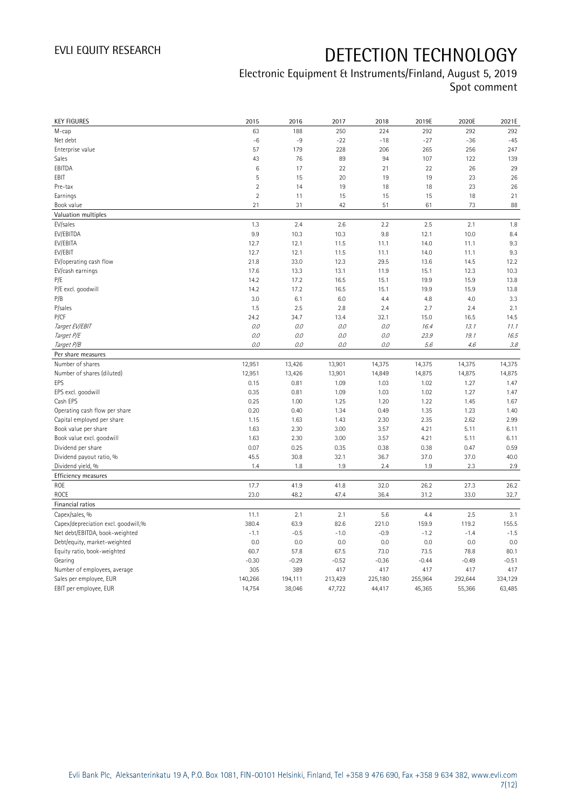| <b>KEY FIGURES</b>                                | 2015              | 2016              | 2017              | 2018              | 2019E             | 2020E             | 2021E             |
|---------------------------------------------------|-------------------|-------------------|-------------------|-------------------|-------------------|-------------------|-------------------|
| M-cap                                             | 63                | 188               | 250               | 224               | 292               | 292               | 292               |
| Net debt                                          | $-6$              | $-9$              | $-22$             | $-18$             | $-27$             | $-36$             | $-45$             |
| Enterprise value                                  | 57                | 179               | 228               | 206               | 265               | 256               | 247               |
| Sales                                             | 43                | 76                | 89                | 94                | 107               | 122               | 139               |
| EBITDA                                            | $\,6$             | 17                | 22                | 21                | 22                | 26                | 29                |
| EBIT                                              | 5                 | 15                | 20                | 19                | 19                | 23                | 26                |
| Pre-tax                                           | $\overline{2}$    | 14                | 19                | 18                | 18                | 23                | 26                |
| Earnings                                          | $\sqrt{2}$        | 11                | 15                | 15                | 15                | 18                | 21                |
| Book value                                        | 21                | 31                | 42                | 51                | 61                | 73                | 88                |
| Valuation multiples                               |                   |                   |                   |                   |                   |                   |                   |
| EV/sales                                          | 1.3               | 2.4               | 2.6               | 2.2               | 2.5               | 2.1               | 1.8               |
| EV/EBITDA                                         | 9.9               | 10.3              | 10.3              | 9.8               | 12.1              | 10.0              | 8.4               |
| EV/EBITA                                          | 12.7              | 12.1              | 11.5              | 11.1              | 14.0              | 11.1              | 9.3               |
| EV/EBIT                                           | 12.7              | 12.1              | 11.5              | 11.1              | 14.0              | 11.1              | 9.3               |
| EV/operating cash flow                            | 21.8              | 33.0              | 12.3              | 29.5              | 13.6              | 14.5              | 12.2              |
| EV/cash earnings                                  | 17.6              | 13.3              | 13.1              | 11.9              | 15.1              | 12.3              | 10.3              |
| P/E                                               | 14.2              | 17.2              | 16.5              | 15.1              | 19.9              | 15.9              | 13.8              |
| P/E excl. goodwill                                | 14.2              | 17.2              | 16.5              | 15.1              | 19.9              | 15.9              | 13.8              |
| P/B                                               | 3.0               | 6.1               | 6.0               | 4.4               | 4.8               | 4.0               | 3.3               |
| P/sales                                           | 1.5               | 2.5               | 2.8               | 2.4               | 2.7               | 2.4               | 2.1               |
| P/CF                                              | 24.2              | 34.7              | 13.4              | 32.1              | 15.0              | 16.5              | 14.5              |
| Target EV/EBIT                                    | $0.0\,$           | O.O               | 0.0               | $O.O$             | 16.4              | 13.1              | 11.1              |
| Target P/E                                        | O.O               | 0.0               | 0.0               | 0.0               | 23.9              | 19.1              | 16.5              |
| Target P/B                                        | O.O               | 0.0               | 0.0               | 0.0               | 5.6               | 4.6               | 3.8               |
| Per share measures                                |                   |                   |                   |                   |                   |                   |                   |
| Number of shares                                  | 12,951            | 13,426            | 13,901            | 14,375            | 14,375            | 14,375            | 14,375            |
|                                                   |                   |                   |                   |                   |                   |                   |                   |
|                                                   |                   |                   |                   |                   |                   |                   |                   |
| Number of shares (diluted)                        | 12,951            | 13,426            | 13,901            | 14,849            | 14,875            | 14,875            | 14,875            |
| EPS                                               | 0.15              | 0.81              | 1.09              | 1.03              | 1.02              | 1.27              | 1.47              |
| EPS excl. goodwill<br>Cash EPS                    | 0.35              | 0.81              | 1.09              | 1.03              | 1.02              | 1.27              | 1.47              |
|                                                   | 0.25              | 1.00              | 1.25              | 1.20              | 1.22              | 1.45              | 1.67              |
| Operating cash flow per share                     | 0.20              | 0.40              | 1.34              | 0.49              | 1.35              | 1.23              | 1.40              |
| Capital employed per share                        | 1.15              | 1.63              | 1.43              | 2.30              | 2.35              | 2.62              | 2.99              |
| Book value per share                              | 1.63              | 2.30              | 3.00              | 3.57              | 4.21              | 5.11              | 6.11              |
| Book value excl. goodwill                         | 1.63              | 2.30              | 3.00              | 3.57              | 4.21              | 5.11              | 6.11              |
| Dividend per share                                | 0.07              | 0.25              | 0.35              | 0.38              | 0.38              | 0.47              | 0.59              |
| Dividend payout ratio, %                          | 45.5              | 30.8              | 32.1              | 36.7              | 37.0              | 37.0              | 40.0              |
| Dividend yield, %                                 | 1.4               | 1.8               | 1.9               | 2.4               | 1.9               | 2.3               | 2.9               |
| Efficiency measures                               |                   |                   |                   |                   |                   |                   |                   |
| ROE                                               | 17.7              | 41.9              | 41.8              | 32.0              | 26.2              | 27.3              | 26.2              |
| ROCE                                              | 23.0              | 48.2              | 47.4              | 36.4              | 31.2              | 33.0              | 32.7              |
| Financial ratios                                  |                   |                   |                   |                   |                   |                   |                   |
| Capex/sales, %                                    | 11.1              | 2.1               | 2.1               | 5.6               | 4.4               | 2.5               | 3.1               |
| Capex/depreciation excl. goodwill,%               | 380.4             | 63.9              | 82.6              | 221.0             | 159.9             | 119.2             | 155.5             |
| Net debt/EBITDA, book-weighted                    | $-1.1$            | $-0.5$            | $-1.0$            | $-0.9$            | $-1.2$            | $-1.4$            | $-1.5$            |
| Debt/equity, market-weighted                      | 0.0               | 0.0               | 0.0               | 0.0               | 0.0               | 0.0               | 0.0               |
| Equity ratio, book-weighted                       | 60.7              | 57.8              | 67.5              | 73.0              | 73.5              | 78.8              | 80.1              |
| Gearing                                           | $-0.30$           | $-0.29$           | $-0.52$           | $-0.36$           | $-0.44$           | $-0.49$           | $-0.51$           |
| Number of employees, average                      | 305               | 389               | 417               | 417               | 417               | 417               | 417               |
| Sales per employee, EUR<br>EBIT per employee, EUR | 140,266<br>14,754 | 194,111<br>38,046 | 213,429<br>47,722 | 225,180<br>44,417 | 255,964<br>45,365 | 292,644<br>55,366 | 334,129<br>63,485 |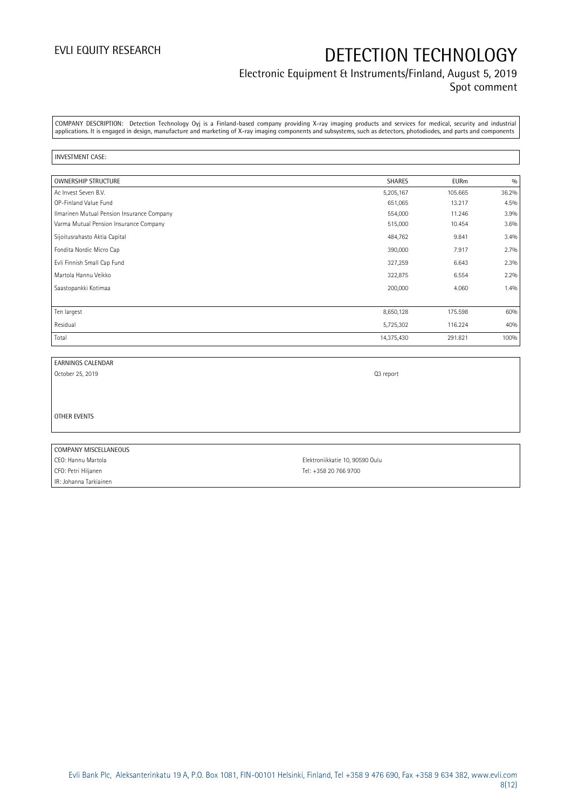### Electronic Equipment & Instruments/Finland, August 5, 2019 Spot comment

COMPANY DESCRIPTION: Detection Technology Oyj is a Finland-based company providing X-ray imaging products and services for medical, security and industrial applications. It is engaged in design, manufacture and marketing of X-ray imaging components and subsystems, such as detectors, photodiodes, and parts and components

#### INVESTMENT CASE:

| <b>OWNERSHIP STRUCTURE</b>                 | <b>SHARES</b> | <b>EURm</b> | 0/0   |
|--------------------------------------------|---------------|-------------|-------|
| Ac Invest Seven B.V.                       | 5,205,167     | 105.665     | 36.2% |
| OP-Finland Value Fund                      | 651,065       | 13.217      | 4.5%  |
| Ilmarinen Mutual Pension Insurance Company | 554,000       | 11.246      | 3.9%  |
| Varma Mutual Pension Insurance Company     | 515,000       | 10.454      | 3.6%  |
| Sijoitusrahasto Aktia Capital              | 484,762       | 9.841       | 3.4%  |
| Fondita Nordic Micro Cap                   | 390,000       | 7.917       | 2.7%  |
| Evli Finnish Small Cap Fund                | 327,259       | 6.643       | 2.3%  |
| Martola Hannu Veikko                       | 322,875       | 6.554       | 2.2%  |
| Saastopankki Kotimaa                       | 200,000       | 4.060       | 1.4%  |
|                                            |               |             |       |
| Ten largest                                | 8,650,128     | 175.598     | 60%   |
| Residual                                   | 5,725,302     | 116.224     | 40%   |
| Total                                      | 14,375,430    | 291.821     | 100%  |

| EARNINGS CALENDAR |  |
|-------------------|--|
|                   |  |

October 25, 2019 **Q3** report

OTHER EVENTS

COMPANY MISCELLANEOUS CEO: Hannu Martola Elektroniikkatie 10, 90590 Oulu CFO: Petri Hiljanen Tel: +358 20 766 9700 IR: Johanna Tarkiainen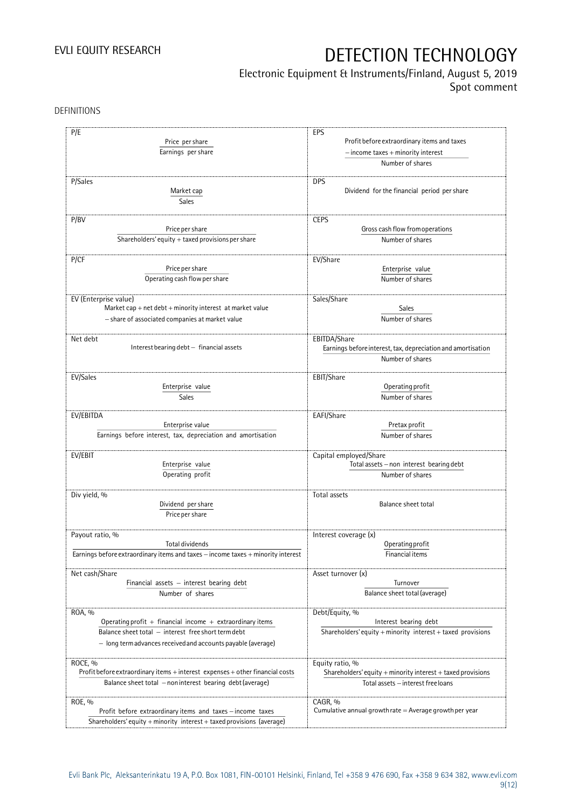## Electronic Equipment & Instruments/Finland, August 5, 2019

Spot comment

DEFINITIONS

| P/E                                                                              | EPS                                                             |  |  |
|----------------------------------------------------------------------------------|-----------------------------------------------------------------|--|--|
| Price per share                                                                  |                                                                 |  |  |
|                                                                                  | Profit before extraordinary items and taxes                     |  |  |
| Earnings per share                                                               | $-$ income taxes $+$ minority interest                          |  |  |
|                                                                                  | Number of shares                                                |  |  |
|                                                                                  |                                                                 |  |  |
| P/Sales                                                                          | <b>DPS</b>                                                      |  |  |
| Market cap                                                                       | Dividend for the financial period per share                     |  |  |
| Sales                                                                            |                                                                 |  |  |
| P/BV                                                                             | <b>CEPS</b>                                                     |  |  |
| Price per share                                                                  | Gross cash flow from operations                                 |  |  |
| Shareholders' equity $+$ taxed provisions per share                              | Number of shares                                                |  |  |
|                                                                                  |                                                                 |  |  |
| P/CF                                                                             | EV/Share                                                        |  |  |
| Price per share                                                                  | Enterprise value                                                |  |  |
| Operating cash flow per share                                                    | Number of shares                                                |  |  |
|                                                                                  |                                                                 |  |  |
| EV (Enterprise value)                                                            | Sales/Share                                                     |  |  |
| Market cap $+$ net debt $+$ minority interest at market value                    | Sales                                                           |  |  |
| - share of associated companies at market value                                  | Number of shares                                                |  |  |
|                                                                                  |                                                                 |  |  |
| Net debt                                                                         | EBITDA/Share                                                    |  |  |
| Interest bearing debt - financial assets                                         | Earnings before interest, tax, depreciation and amortisation    |  |  |
|                                                                                  | Number of shares                                                |  |  |
|                                                                                  |                                                                 |  |  |
| EV/Sales                                                                         | EBIT/Share                                                      |  |  |
| Enterprise value                                                                 | Operating profit                                                |  |  |
| Sales                                                                            | Number of shares                                                |  |  |
|                                                                                  |                                                                 |  |  |
| EV/EBITDA                                                                        | EAFI/Share                                                      |  |  |
| Enterprise value                                                                 | Pretax profit                                                   |  |  |
| Earnings before interest, tax, depreciation and amortisation                     | Number of shares                                                |  |  |
|                                                                                  |                                                                 |  |  |
| EV/EBIT                                                                          | Capital employed/Share                                          |  |  |
| Enterprise value                                                                 | Total assets - non interest bearing debt                        |  |  |
| Operating profit                                                                 | Number of shares                                                |  |  |
| Div yield, %                                                                     | Total assets                                                    |  |  |
| Dividend per share                                                               | Balance sheet total                                             |  |  |
| Price per share                                                                  |                                                                 |  |  |
|                                                                                  |                                                                 |  |  |
| Payout ratio, %                                                                  | Interest coverage (x)                                           |  |  |
| Total dividends                                                                  | Operating profit                                                |  |  |
| Earnings before extraordinary items and taxes - income taxes + minority interest | Financial items                                                 |  |  |
|                                                                                  |                                                                 |  |  |
| Net cash/Share                                                                   | Asset turnover (x)                                              |  |  |
| Financial assets $-$ interest bearing debt                                       | Turnover                                                        |  |  |
| Number of shares                                                                 | Balance sheet total (average)                                   |  |  |
|                                                                                  |                                                                 |  |  |
| ROA, %                                                                           | Debt/Equity, %                                                  |  |  |
| Operating profit $+$ financial income $+$ extraordinary items                    | Interest bearing debt                                           |  |  |
| Balance sheet total - interest free short term debt                              | Shareholders' equity $+$ minority interest $+$ taxed provisions |  |  |
| - long term advances received and accounts payable (average)                     |                                                                 |  |  |
|                                                                                  |                                                                 |  |  |
| ROCE, %                                                                          | Equity ratio, %                                                 |  |  |
| Profit before extraordinary items + interest expenses + other financial costs    | Shareholders' equity + minority interest + taxed provisions     |  |  |
| Balance sheet total - non interest bearing debt (average)                        | Total assets - interest free loans                              |  |  |
|                                                                                  |                                                                 |  |  |
| ROE, %                                                                           | CAGR, %                                                         |  |  |
| Profit before extraordinary items and taxes - income taxes                       | Cumulative annual growth rate $=$ Average growth per year       |  |  |
| Shareholders' equity + minority interest + taxed provisions (average)            |                                                                 |  |  |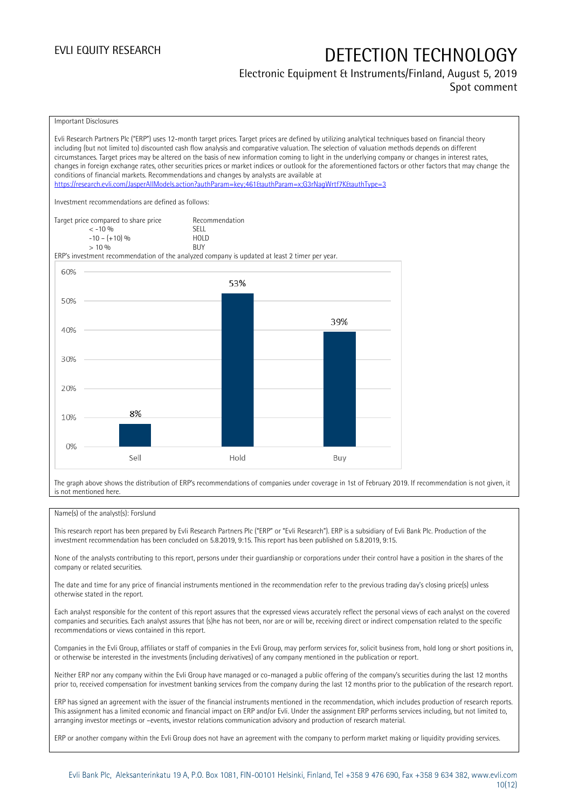## Electronic Equipment & Instruments/Finland, August 5, 2019

Spot comment



The graph above shows the distribution of ERP's recommendations of companies under coverage in 1st of February 2019. If recommendation is not given, it is not mentioned here.

#### Name(s) of the analyst(s): Forslund

This research report has been prepared by Evli Research Partners Plc ("ERP" or "Evli Research"). ERP is a subsidiary of Evli Bank Plc. Production of the investment recommendation has been concluded on 5.8.2019, 9:15. This report has been published on 5.8.2019, 9:15.

None of the analysts contributing to this report, persons under their guardianship or corporations under their control have a position in the shares of the company or related securities.

The date and time for any price of financial instruments mentioned in the recommendation refer to the previous trading day's closing price(s) unless otherwise stated in the report.

Each analyst responsible for the content of this report assures that the expressed views accurately reflect the personal views of each analyst on the covered companies and securities. Each analyst assures that (s)he has not been, nor are or will be, receiving direct or indirect compensation related to the specific recommendations or views contained in this report.

Companies in the Evli Group, affiliates or staff of companies in the Evli Group, may perform services for, solicit business from, hold long or short positions in, or otherwise be interested in the investments (including derivatives) of any company mentioned in the publication or report.

Neither ERP nor any company within the Evli Group have managed or co-managed a public offering of the company's securities during the last 12 months prior to, received compensation for investment banking services from the company during the last 12 months prior to the publication of the research report.

ERP has signed an agreement with the issuer of the financial instruments mentioned in the recommendation, which includes production of research reports. This assignment has a limited economic and financial impact on ERP and/or Evli. Under the assignment ERP performs services including, but not limited to, arranging investor meetings or –events, investor relations communication advisory and production of research material.

ERP or another company within the Evli Group does not have an agreement with the company to perform market making or liquidity providing services.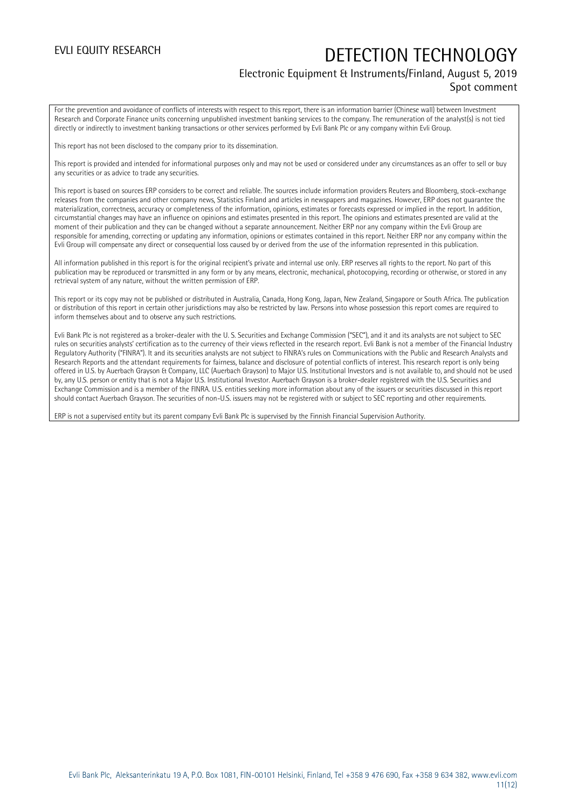### Electronic Equipment & Instruments/Finland, August 5, 2019 Spot comment

For the prevention and avoidance of conflicts of interests with respect to this report, there is an information barrier (Chinese wall) between Investment Research and Corporate Finance units concerning unpublished investment banking services to the company. The remuneration of the analyst(s) is not tied directly or indirectly to investment banking transactions or other services performed by Evli Bank Plc or any company within Evli Group.

This report has not been disclosed to the company prior to its dissemination.

This report is provided and intended for informational purposes only and may not be used or considered under any circumstances as an offer to sell or buy any securities or as advice to trade any securities.

This report is based on sources ERP considers to be correct and reliable. The sources include information providers Reuters and Bloomberg, stock-exchange releases from the companies and other company news, Statistics Finland and articles in newspapers and magazines. However, ERP does not guarantee the materialization, correctness, accuracy or completeness of the information, opinions, estimates or forecasts expressed or implied in the report. In addition, circumstantial changes may have an influence on opinions and estimates presented in this report. The opinions and estimates presented are valid at the moment of their publication and they can be changed without a separate announcement. Neither ERP nor any company within the Evli Group are responsible for amending, correcting or updating any information, opinions or estimates contained in this report. Neither ERP nor any company within the Evli Group will compensate any direct or consequential loss caused by or derived from the use of the information represented in this publication.

All information published in this report is for the original recipient's private and internal use only. ERP reserves all rights to the report. No part of this publication may be reproduced or transmitted in any form or by any means, electronic, mechanical, photocopying, recording or otherwise, or stored in any retrieval system of any nature, without the written permission of ERP.

This report or its copy may not be published or distributed in Australia, Canada, Hong Kong, Japan, New Zealand, Singapore or South Africa. The publication or distribution of this report in certain other jurisdictions may also be restricted by law. Persons into whose possession this report comes are required to inform themselves about and to observe any such restrictions.

Evli Bank Plc is not registered as a broker-dealer with the U. S. Securities and Exchange Commission ("SEC"), and it and its analysts are not subject to SEC rules on securities analysts' certification as to the currency of their views reflected in the research report. Evli Bank is not a member of the Financial Industry Regulatory Authority ("FINRA"). It and its securities analysts are not subject to FINRA's rules on Communications with the Public and Research Analysts and Research Reports and the attendant requirements for fairness, balance and disclosure of potential conflicts of interest. This research report is only being offered in U.S. by Auerbach Grayson & Company, LLC (Auerbach Grayson) to Major U.S. Institutional Investors and is not available to, and should not be used by, any U.S. person or entity that is not a Major U.S. Institutional Investor. Auerbach Grayson is a broker-dealer registered with the U.S. Securities and Exchange Commission and is a member of the FINRA. U.S. entities seeking more information about any of the issuers or securities discussed in this report should contact Auerbach Grayson. The securities of non-U.S. issuers may not be registered with or subject to SEC reporting and other requirements.

ERP is not a supervised entity but its parent company Evli Bank Plc is supervised by the Finnish Financial Supervision Authority.